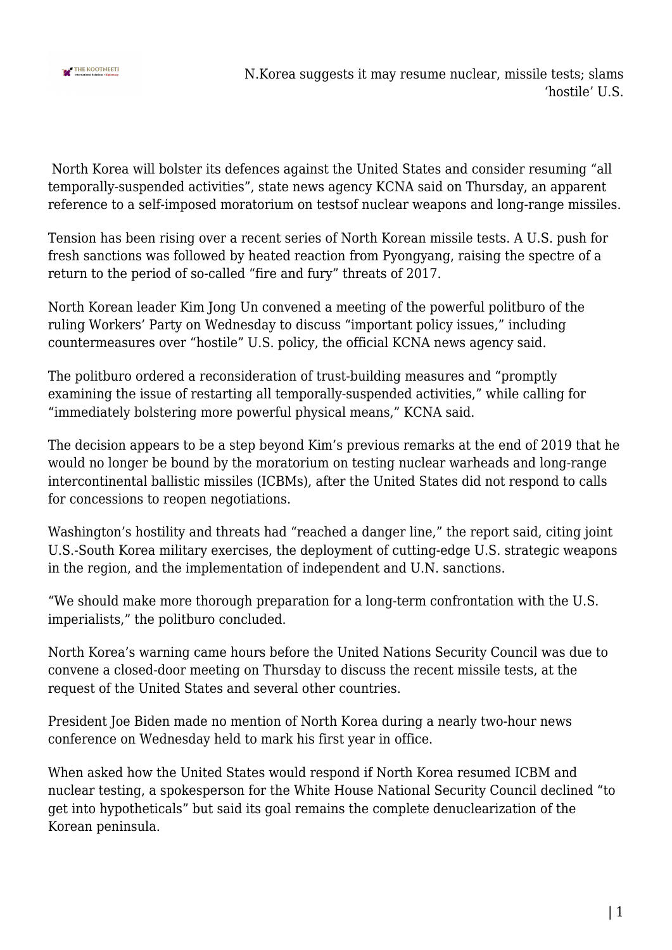

N.Korea suggests it may resume nuclear, missile tests; slams 'hostile' U.S.

 North Korea will bolster its defences against the United States and consider resuming "all temporally-suspended activities", state news agency KCNA said on Thursday, an apparent reference to a self-imposed moratorium on testsof nuclear weapons and long-range missiles.

Tension has been rising over a recent series of North Korean missile tests. A U.S. push for fresh sanctions was followed by heated reaction from Pyongyang, raising the spectre of a return to the period of so-called "fire and fury" threats of 2017.

North Korean leader Kim Jong Un convened a meeting of the powerful politburo of the ruling Workers' Party on Wednesday to discuss "important policy issues," including countermeasures over "hostile" U.S. policy, the official KCNA news agency said.

The politburo ordered a reconsideration of trust-building measures and "promptly examining the issue of restarting all temporally-suspended activities," while calling for "immediately bolstering more powerful physical means," KCNA said.

The decision appears to be a step beyond Kim's previous remarks at the end of 2019 that he would no longer be bound by the moratorium on testing nuclear warheads and long-range intercontinental ballistic missiles (ICBMs), after the United States did not respond to calls for concessions to reopen negotiations.

Washington's hostility and threats had "reached a danger line," the report said, citing joint U.S.-South Korea military exercises, the deployment of cutting-edge U.S. strategic weapons in the region, and the implementation of independent and U.N. sanctions.

"We should make more thorough preparation for a long-term confrontation with the U.S. imperialists," the politburo concluded.

North Korea's warning came hours before the United Nations Security Council was due to convene a closed-door meeting on Thursday to discuss the recent missile tests, at the request of the United States and several other countries.

President Joe Biden made no mention of North Korea during a nearly two-hour news conference on Wednesday held to mark his first year in office.

When asked how the United States would respond if North Korea resumed ICBM and nuclear testing, a spokesperson for the White House National Security Council declined "to get into hypotheticals" but said its goal remains the complete denuclearization of the Korean peninsula.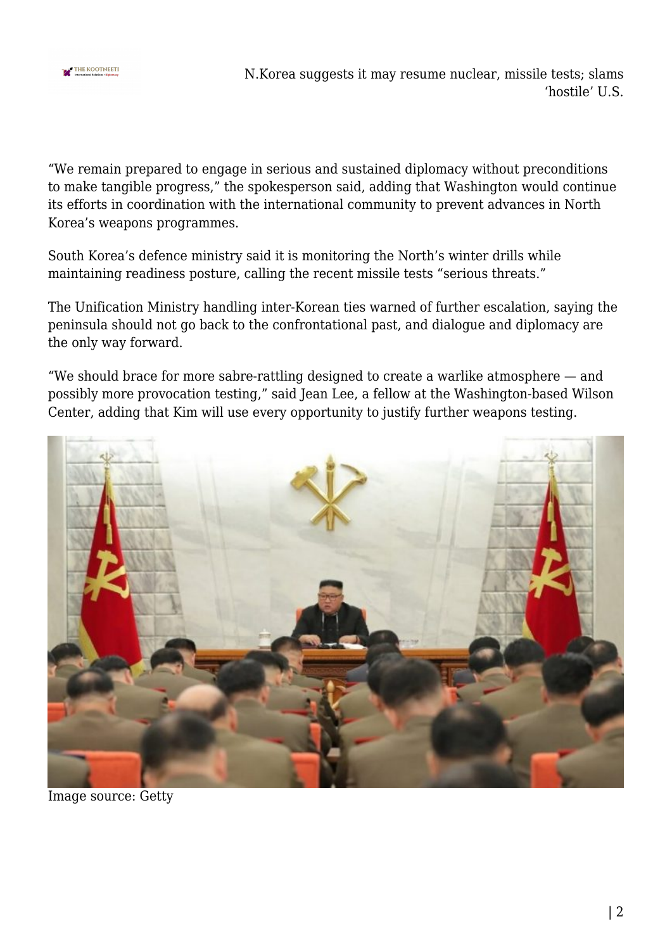

N.Korea suggests it may resume nuclear, missile tests; slams 'hostile' U.S.

"We remain prepared to engage in serious and sustained diplomacy without preconditions to make tangible progress," the spokesperson said, adding that Washington would continue its efforts in coordination with the international community to prevent advances in North Korea's weapons programmes.

South Korea's defence ministry said it is monitoring the North's winter drills while maintaining readiness posture, calling the recent missile tests "serious threats."

The Unification Ministry handling inter-Korean ties warned of further escalation, saying the peninsula should not go back to the confrontational past, and dialogue and diplomacy are the only way forward.

"We should brace for more sabre-rattling designed to create a warlike atmosphere — and possibly more provocation testing," said Jean Lee, a fellow at the Washington-based Wilson Center, adding that Kim will use every opportunity to justify further weapons testing.



Image source: Getty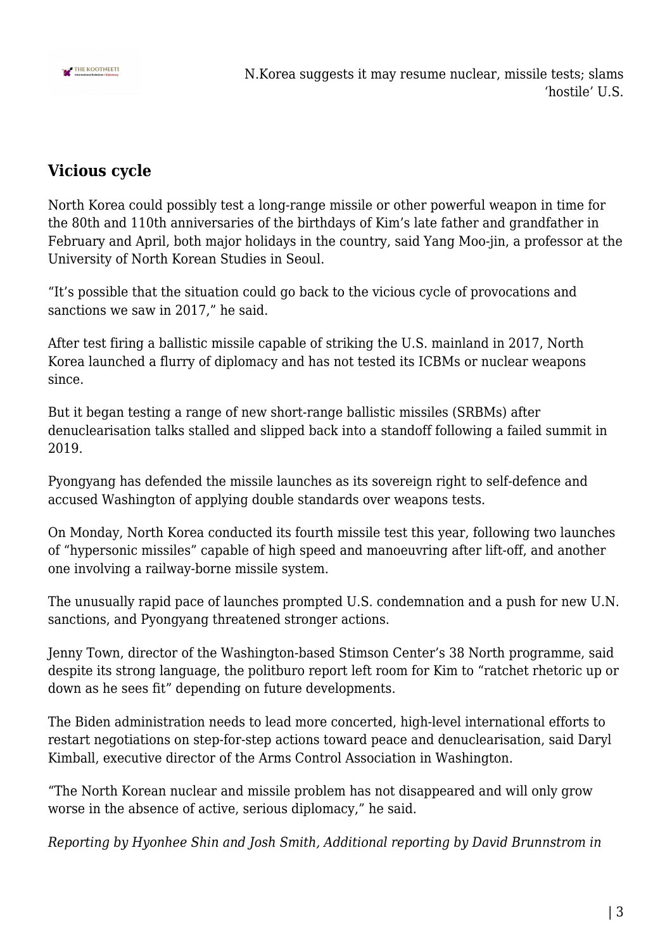

## **Vicious cycle**

North Korea could possibly test a long-range missile or other powerful weapon in time for the 80th and 110th anniversaries of the birthdays of Kim's late father and grandfather in February and April, both major holidays in the country, said Yang Moo-jin, a professor at the University of North Korean Studies in Seoul.

"It's possible that the situation could go back to the vicious cycle of provocations and sanctions we saw in 2017," he said.

After test firing a ballistic missile capable of striking the U.S. mainland in 2017, North Korea launched a flurry of diplomacy and has not tested its ICBMs or nuclear weapons since.

But it began testing a range of new short-range ballistic missiles (SRBMs) after denuclearisation talks stalled and slipped back into a standoff following a failed summit in 2019.

Pyongyang has defended the missile launches as its sovereign right to self-defence and accused Washington of applying double standards over weapons tests.

On Monday, North Korea conducted its fourth missile test this year, following two launches of "hypersonic missiles" capable of high speed and manoeuvring after lift-off, and another one involving a railway-borne missile system.

The unusually rapid pace of launches prompted U.S. condemnation and a push for new U.N. sanctions, and Pyongyang threatened stronger actions.

Jenny Town, director of the Washington-based Stimson Center's 38 North programme, said despite its strong language, the politburo report left room for Kim to "ratchet rhetoric up or down as he sees fit" depending on future developments.

The Biden administration needs to lead more concerted, high-level international efforts to restart negotiations on step-for-step actions toward peace and denuclearisation, said Daryl Kimball, executive director of the Arms Control Association in Washington.

"The North Korean nuclear and missile problem has not disappeared and will only grow worse in the absence of active, serious diplomacy," he said.

*Reporting by Hyonhee Shin and Josh Smith, Additional reporting by David Brunnstrom in*